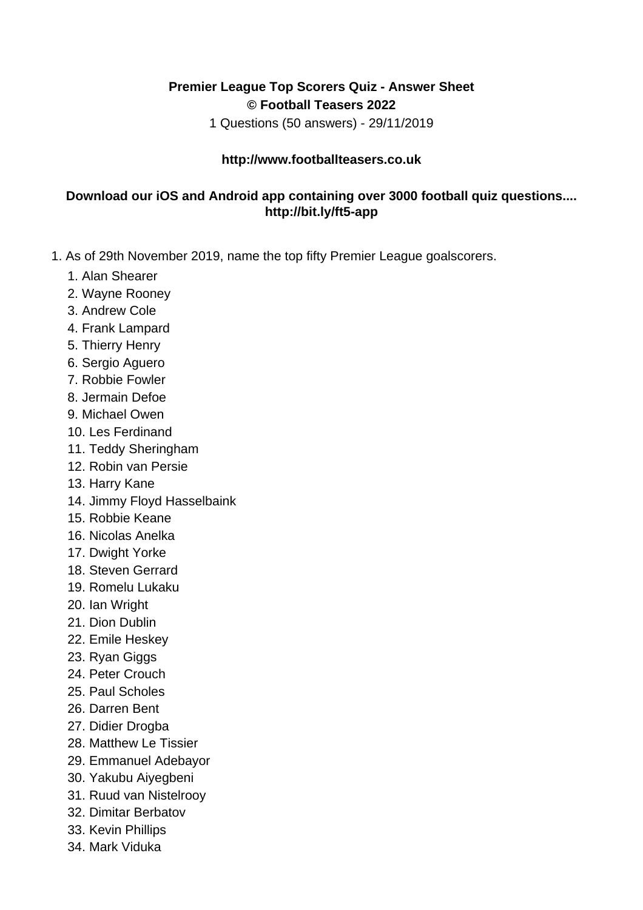## **Premier League Top Scorers Quiz - Answer Sheet © Football Teasers 2022**

1 Questions (50 answers) - 29/11/2019

## **http://www.footballteasers.co.uk**

## **Download our iOS and Android app containing over 3000 football quiz questions.... http://bit.ly/ft5-app**

- 1. As of 29th November 2019, name the top fifty Premier League goalscorers.
	- 1. Alan Shearer
	- 2. Wayne Rooney
	- 3. Andrew Cole
	- 4. Frank Lampard
	- 5. Thierry Henry
	- 6. Sergio Aguero
	- 7. Robbie Fowler
	- 8. Jermain Defoe
	- 9. Michael Owen
	- 10. Les Ferdinand
	- 11. Teddy Sheringham
	- 12. Robin van Persie
	- 13. Harry Kane
	- 14. Jimmy Floyd Hasselbaink
	- 15. Robbie Keane
	- 16. Nicolas Anelka
	- 17. Dwight Yorke
	- 18. Steven Gerrard
	- 19. Romelu Lukaku
	- 20. Ian Wright
	- 21. Dion Dublin
	- 22. Emile Heskey
	- 23. Ryan Giggs
	- 24. Peter Crouch
	- 25. Paul Scholes
	- 26. Darren Bent
	- 27. Didier Drogba
	- 28. Matthew Le Tissier
	- 29. Emmanuel Adebayor
	- 30. Yakubu Aiyegbeni
	- 31. Ruud van Nistelrooy
	- 32. Dimitar Berbatov
	- 33. Kevin Phillips
	- 34. Mark Viduka